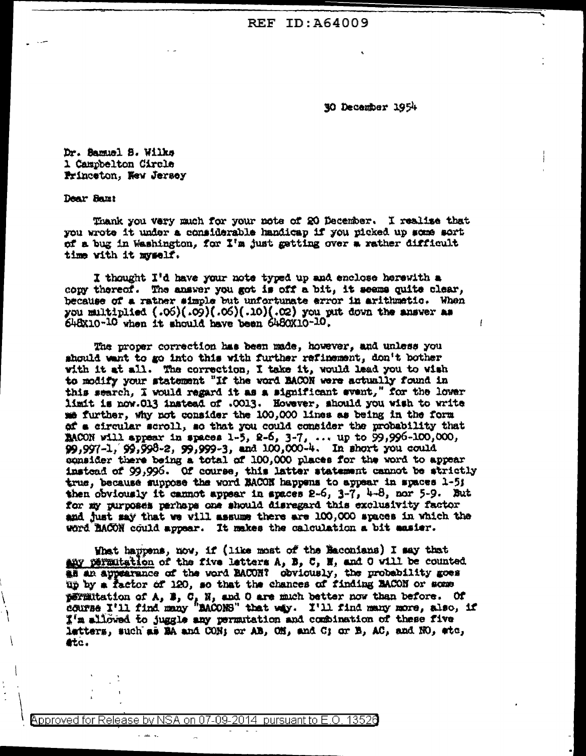**REF ID: A64009** 

30 December 1954

Dr. Bamuel S. Wilks 1 Campbelton Circle Princeton, New Jersey

Dear Samt

Thank you very much for your note of 20 December. I realise that you wrote it under a considerable handicap if you picked up some sort of a bug in Washington, for I'm just getting over a rather difficult time with it myself.

I thought I'd have your note typed up and enclose herewith a copy thereof. The answer you got is off a bit, it seems quite clear, because of a ratner simple but unfortunate error in arithmetic. When you multiplied (.06)(.09)(.06)(01.)(02) you unt down the answer as 648x10-10 when it should have been 6480X10-10.

The proper correction has been made, however, and unless you should want to go into this with further refinement, don't bother with it at all. The correction, I take it, would lead you to wish to modify your statement "If the word BACON were actually found in this search, I would regard it as a significant event," for the lower limit is now.013 instead of .0013. However, should you wish to write me further, why not consider the 100,000 lines as being in the form of a circular scroll, so that you could consider the probability that MACON will appear in spaces 1-5, 2-6, 3-7, ... up to 99,996-100,000,<br>99,997-1, 99,998-2, 99,999-3, and 100,000-4. In short you could consider there being a total of 100,000 places for the word to appear instead of 99,996. Of course, this latter statement cannot be strictly true, because suppose the word RACON happens to appear in spaces 1-5; then obviously it cannot appear in spaces 2-6, 3-7, 4-8, nor 5-9. But for my purposes parhaps one should disregard this exclusivity factor and just say that we will assume there are 100,000 spaces in which the word BACON could appear. It makes the calculation a bit easier.

What happens, now, if (like most of the Baconians) I say that any permitation of the five letters A, B, C, H, and O will be counted. as an appearance of the word BACOR? obviously, the probability goes up by a factor of 120, so that the chances of finding BACON or some pormutation of  $A$ ,  $B$ ,  $C$ ,  $N$ , and  $0$  are much better now than before. Of course  $I'11$  find many "MACONS" that way. I'll find many more, also, if I'm allowed to juggle any permutation and combination of these five letters, such as EA and CON; or AB, OH, and C; or B, AC, and HO, etc, **etc.** 

Approved for Release by NSA on 07-09-2014 13526 pursuant to E.O.